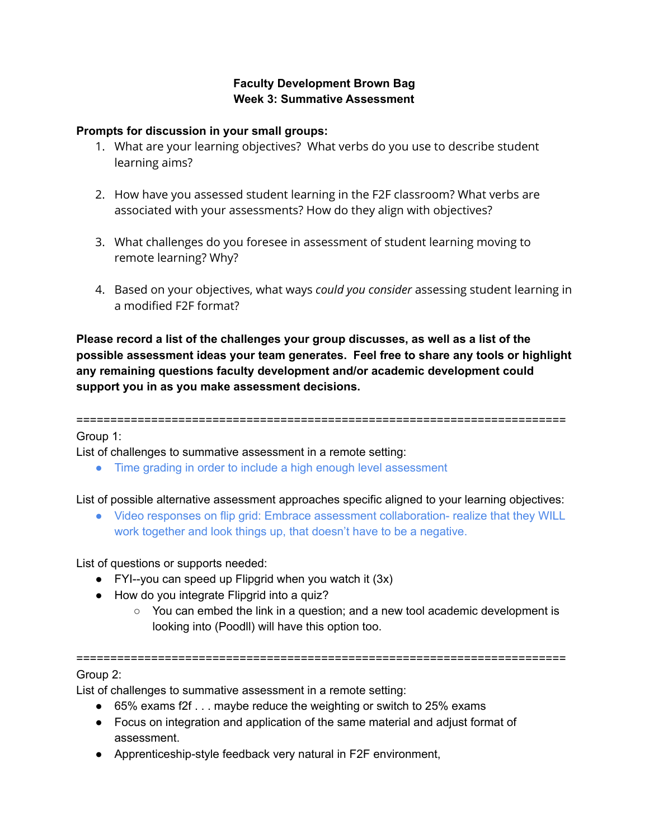# **Faculty Development Brown Bag Week 3: Summative Assessment**

### **Prompts for discussion in your small groups:**

- 1. What are your learning objectives? What verbs do you use to describe student learning aims?
- 2. How have you assessed student learning in the F2F classroom? What verbs are associated with your assessments? How do they align with objectives?
- 3. What challenges do you foresee in assessment of student learning moving to remote learning? Why?
- 4. Based on your objectives, what ways *could you consider* assessing student learning in a modified F2F format?

**Please record a list of the challenges your group discusses, as well as a list of the possible assessment ideas your team generates. Feel free to share any tools or highlight any remaining questions faculty development and/or academic development could support you in as you make assessment decisions.**

========================================================================

#### Group 1:

List of challenges to summative assessment in a remote setting:

● Time grading in order to include a high enough level assessment

List of possible alternative assessment approaches specific aligned to your learning objectives:

● Video responses on flip grid: Embrace assessment collaboration- realize that they WILL work together and look things up, that doesn't have to be a negative.

List of questions or supports needed:

- FYI--you can speed up Flipgrid when you watch it  $(3x)$
- How do you integrate Flipgrid into a quiz?
	- You can embed the link in a question; and a new tool academic development is looking into (Poodll) will have this option too.

========================================================================

## Group 2:

List of challenges to summative assessment in a remote setting:

- 65% exams f2f . . . maybe reduce the weighting or switch to 25% exams
- Focus on integration and application of the same material and adjust format of assessment.
- Apprenticeship-style feedback very natural in F2F environment,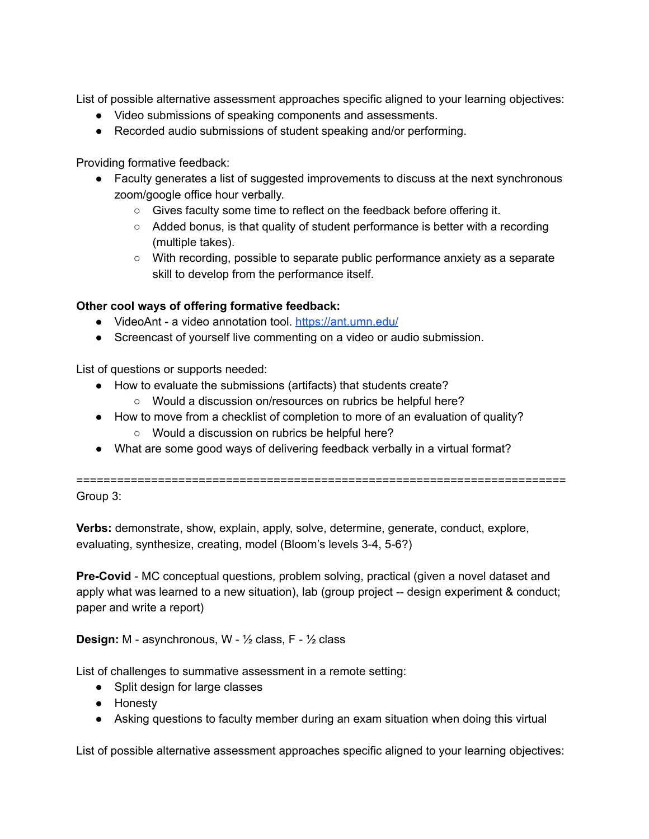List of possible alternative assessment approaches specific aligned to your learning objectives:

- Video submissions of speaking components and assessments.
- Recorded audio submissions of student speaking and/or performing.

Providing formative feedback:

- Faculty generates a list of suggested improvements to discuss at the next synchronous zoom/google office hour verbally.
	- Gives faculty some time to reflect on the feedback before offering it.
	- Added bonus, is that quality of student performance is better with a recording (multiple takes).
	- With recording, possible to separate public performance anxiety as a separate skill to develop from the performance itself.

## **Other cool ways of offering formative feedback:**

- VideoAnt a video annotation tool. <https://ant.umn.edu/>
- Screencast of yourself live commenting on a video or audio submission.

List of questions or supports needed:

- How to evaluate the submissions (artifacts) that students create?
	- Would a discussion on/resources on rubrics be helpful here?
- How to move from a checklist of completion to more of an evaluation of quality? ○ Would a discussion on rubrics be helpful here?
- What are some good ways of delivering feedback verbally in a virtual format?

========================================================================

Group 3:

**Verbs:** demonstrate, show, explain, apply, solve, determine, generate, conduct, explore, evaluating, synthesize, creating, model (Bloom's levels 3-4, 5-6?)

**Pre-Covid** - MC conceptual questions, problem solving, practical (given a novel dataset and apply what was learned to a new situation), lab (group project -- design experiment & conduct; paper and write a report)

**Design:** M - asynchronous, W - ½ class, F - ½ class

List of challenges to summative assessment in a remote setting:

- Split design for large classes
- Honesty
- Asking questions to faculty member during an exam situation when doing this virtual

List of possible alternative assessment approaches specific aligned to your learning objectives: